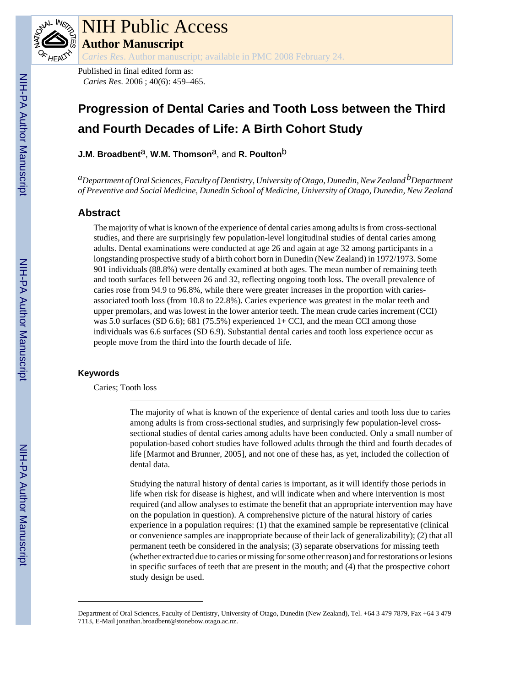

# NIH Public Access

**Author Manuscript**

*Caries Res*. Author manuscript; available in PMC 2008 February 24.

Published in final edited form as: *Caries Res*. 2006 ; 40(6): 459–465.

## **Progression of Dental Caries and Tooth Loss between the Third and Fourth Decades of Life: A Birth Cohort Study**

**J.M. Broadbent<sup>a</sup>, W.M. Thomson<sup>a</sup>, and R. Poulton<sup>b</sup>** 

*aDepartment of Oral Sciences, Faculty of Dentistry, University of Otago, Dunedin, New Zealand bDepartment of Preventive and Social Medicine, Dunedin School of Medicine, University of Otago, Dunedin, New Zealand*

## **Abstract**

The majority of what is known of the experience of dental caries among adults is from cross-sectional studies, and there are surprisingly few population-level longitudinal studies of dental caries among adults. Dental examinations were conducted at age 26 and again at age 32 among participants in a longstanding prospective study of a birth cohort born in Dunedin (New Zealand) in 1972/1973. Some 901 individuals (88.8%) were dentally examined at both ages. The mean number of remaining teeth and tooth surfaces fell between 26 and 32, reflecting ongoing tooth loss. The overall prevalence of caries rose from 94.9 to 96.8%, while there were greater increases in the proportion with cariesassociated tooth loss (from 10.8 to 22.8%). Caries experience was greatest in the molar teeth and upper premolars, and was lowest in the lower anterior teeth. The mean crude caries increment (CCI) was 5.0 surfaces (SD 6.6); 681 (75.5%) experienced  $1+$  CCI, and the mean CCI among those individuals was 6.6 surfaces (SD 6.9). Substantial dental caries and tooth loss experience occur as people move from the third into the fourth decade of life.

## **Keywords**

Caries; Tooth loss

The majority of what is known of the experience of dental caries and tooth loss due to caries among adults is from cross-sectional studies, and surprisingly few population-level crosssectional studies of dental caries among adults have been conducted. Only a small number of population-based cohort studies have followed adults through the third and fourth decades of life [Marmot and Brunner, 2005], and not one of these has, as yet, included the collection of dental data.

Studying the natural history of dental caries is important, as it will identify those periods in life when risk for disease is highest, and will indicate when and where intervention is most required (and allow analyses to estimate the benefit that an appropriate intervention may have on the population in question). A comprehensive picture of the natural history of caries experience in a population requires: (1) that the examined sample be representative (clinical or convenience samples are inappropriate because of their lack of generalizability); (2) that all permanent teeth be considered in the analysis; (3) separate observations for missing teeth (whether extracted due to caries or missing for some other reason) and for restorations or lesions in specific surfaces of teeth that are present in the mouth; and (4) that the prospective cohort study design be used.

Department of Oral Sciences, Faculty of Dentistry, University of Otago, Dunedin (New Zealand), Tel. +64 3 479 7879, Fax +64 3 479 7113, E-Mail jonathan.broadbent@stonebow.otago.ac.nz.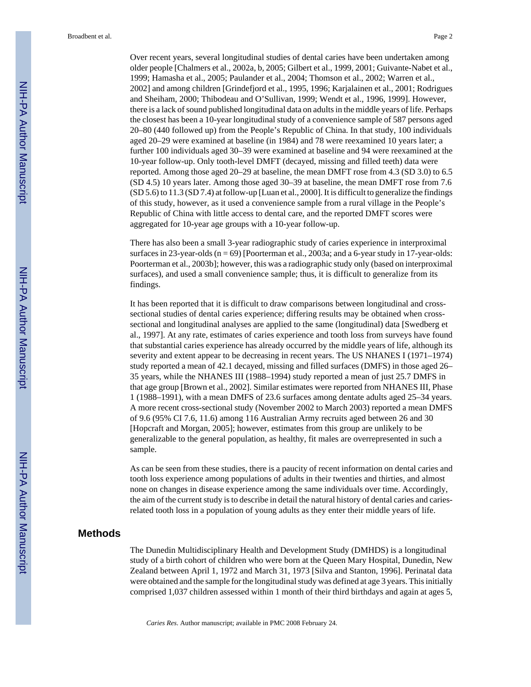Over recent years, several longitudinal studies of dental caries have been undertaken among older people [Chalmers et al., 2002a, b, 2005; Gilbert et al., 1999, 2001; Guivante-Nabet et al., 1999; Hamasha et al., 2005; Paulander et al., 2004; Thomson et al., 2002; Warren et al., 2002] and among children [Grindefjord et al., 1995, 1996; Karjalainen et al., 2001; Rodrigues and Sheiham, 2000; Thibodeau and O'Sullivan, 1999; Wendt et al., 1996, 1999]. However, there is a lack of sound published longitudinal data on adults in the middle years of life. Perhaps the closest has been a 10-year longitudinal study of a convenience sample of 587 persons aged 20–80 (440 followed up) from the People's Republic of China. In that study, 100 individuals aged 20–29 were examined at baseline (in 1984) and 78 were reexamined 10 years later; a further 100 individuals aged 30–39 were examined at baseline and 94 were reexamined at the 10-year follow-up. Only tooth-level DMFT (decayed, missing and filled teeth) data were reported. Among those aged 20–29 at baseline, the mean DMFT rose from 4.3 (SD 3.0) to 6.5 (SD 4.5) 10 years later. Among those aged 30–39 at baseline, the mean DMFT rose from 7.6 (SD 5.6) to 11.3 (SD 7.4) at follow-up [Luan et al., 2000]. It is difficult to generalize the findings of this study, however, as it used a convenience sample from a rural village in the People's Republic of China with little access to dental care, and the reported DMFT scores were aggregated for 10-year age groups with a 10-year follow-up.

There has also been a small 3-year radiographic study of caries experience in interproximal surfaces in 23-year-olds ( $n = 69$ ) [Poorterman et al., 2003a; and a 6-year study in 17-year-olds: Poorterman et al., 2003b]; however, this was a radiographic study only (based on interproximal surfaces), and used a small convenience sample; thus, it is difficult to generalize from its findings.

It has been reported that it is difficult to draw comparisons between longitudinal and crosssectional studies of dental caries experience; differing results may be obtained when crosssectional and longitudinal analyses are applied to the same (longitudinal) data [Swedberg et al., 1997]. At any rate, estimates of caries experience and tooth loss from surveys have found that substantial caries experience has already occurred by the middle years of life, although its severity and extent appear to be decreasing in recent years. The US NHANES I (1971–1974) study reported a mean of 42.1 decayed, missing and filled surfaces (DMFS) in those aged 26– 35 years, while the NHANES III (1988–1994) study reported a mean of just 25.7 DMFS in that age group [Brown et al., 2002]. Similar estimates were reported from NHANES III, Phase 1 (1988–1991), with a mean DMFS of 23.6 surfaces among dentate adults aged 25–34 years. A more recent cross-sectional study (November 2002 to March 2003) reported a mean DMFS of 9.6 (95% CI 7.6, 11.6) among 116 Australian Army recruits aged between 26 and 30 [Hopcraft and Morgan, 2005]; however, estimates from this group are unlikely to be generalizable to the general population, as healthy, fit males are overrepresented in such a sample.

As can be seen from these studies, there is a paucity of recent information on dental caries and tooth loss experience among populations of adults in their twenties and thirties, and almost none on changes in disease experience among the same individuals over time. Accordingly, the aim of the current study is to describe in detail the natural history of dental caries and cariesrelated tooth loss in a population of young adults as they enter their middle years of life.

## **Methods**

The Dunedin Multidisciplinary Health and Development Study (DMHDS) is a longitudinal study of a birth cohort of children who were born at the Queen Mary Hospital, Dunedin, New Zealand between April 1, 1972 and March 31, 1973 [Silva and Stanton, 1996]. Perinatal data were obtained and the sample for the longitudinal study was defined at age 3 years. This initially comprised 1,037 children assessed within 1 month of their third birthdays and again at ages 5,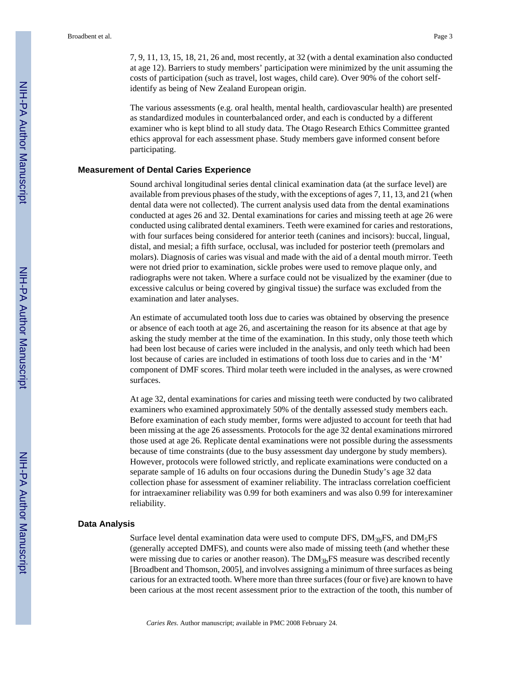7, 9, 11, 13, 15, 18, 21, 26 and, most recently, at 32 (with a dental examination also conducted at age 12). Barriers to study members' participation were minimized by the unit assuming the costs of participation (such as travel, lost wages, child care). Over 90% of the cohort selfidentify as being of New Zealand European origin.

The various assessments (e.g. oral health, mental health, cardiovascular health) are presented as standardized modules in counterbalanced order, and each is conducted by a different examiner who is kept blind to all study data. The Otago Research Ethics Committee granted ethics approval for each assessment phase. Study members gave informed consent before participating.

#### **Measurement of Dental Caries Experience**

Sound archival longitudinal series dental clinical examination data (at the surface level) are available from previous phases of the study, with the exceptions of ages 7, 11, 13, and 21 (when dental data were not collected). The current analysis used data from the dental examinations conducted at ages 26 and 32. Dental examinations for caries and missing teeth at age 26 were conducted using calibrated dental examiners. Teeth were examined for caries and restorations, with four surfaces being considered for anterior teeth (canines and incisors): buccal, lingual, distal, and mesial; a fifth surface, occlusal, was included for posterior teeth (premolars and molars). Diagnosis of caries was visual and made with the aid of a dental mouth mirror. Teeth were not dried prior to examination, sickle probes were used to remove plaque only, and radiographs were not taken. Where a surface could not be visualized by the examiner (due to excessive calculus or being covered by gingival tissue) the surface was excluded from the examination and later analyses.

An estimate of accumulated tooth loss due to caries was obtained by observing the presence or absence of each tooth at age 26, and ascertaining the reason for its absence at that age by asking the study member at the time of the examination. In this study, only those teeth which had been lost because of caries were included in the analysis, and only teeth which had been lost because of caries are included in estimations of tooth loss due to caries and in the 'M' component of DMF scores. Third molar teeth were included in the analyses, as were crowned surfaces.

At age 32, dental examinations for caries and missing teeth were conducted by two calibrated examiners who examined approximately 50% of the dentally assessed study members each. Before examination of each study member, forms were adjusted to account for teeth that had been missing at the age 26 assessments. Protocols for the age 32 dental examinations mirrored those used at age 26. Replicate dental examinations were not possible during the assessments because of time constraints (due to the busy assessment day undergone by study members). However, protocols were followed strictly, and replicate examinations were conducted on a separate sample of 16 adults on four occasions during the Dunedin Study's age 32 data collection phase for assessment of examiner reliability. The intraclass correlation coefficient for intraexaminer reliability was 0.99 for both examiners and was also 0.99 for interexaminer reliability.

#### **Data Analysis**

Surface level dental examination data were used to compute DFS,  $DM<sub>3b</sub>FS$ , and  $DM<sub>5</sub>FS$ (generally accepted DMFS), and counts were also made of missing teeth (and whether these were missing due to caries or another reason). The  $DM<sub>3b</sub>FS$  measure was described recently [Broadbent and Thomson, 2005], and involves assigning a minimum of three surfaces as being carious for an extracted tooth. Where more than three surfaces (four or five) are known to have been carious at the most recent assessment prior to the extraction of the tooth, this number of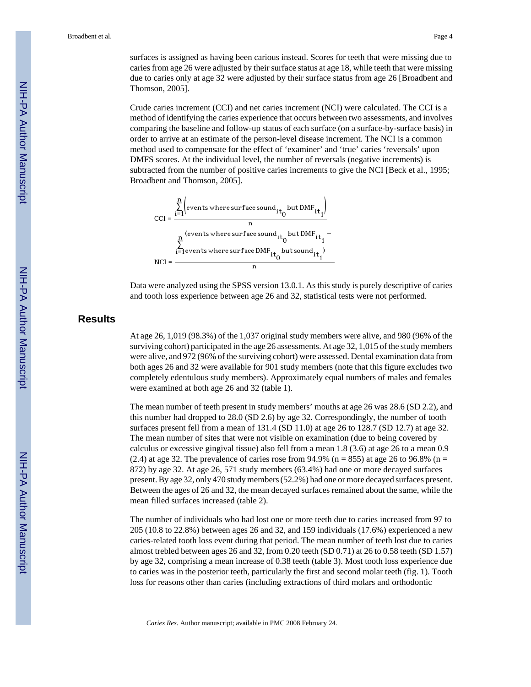surfaces is assigned as having been carious instead. Scores for teeth that were missing due to caries from age 26 were adjusted by their surface status at age 18, while teeth that were missing due to caries only at age 32 were adjusted by their surface status from age 26 [Broadbent and Thomson, 2005].

Crude caries increment (CCI) and net caries increment (NCI) were calculated. The CCI is a method of identifying the caries experience that occurs between two assessments, and involves comparing the baseline and follow-up status of each surface (on a surface-by-surface basis) in order to arrive at an estimate of the person-level disease increment. The NCI is a common method used to compensate for the effect of 'examiner' and 'true' caries 'reversals' upon DMFS scores. At the individual level, the number of reversals (negative increments) is subtracted from the number of positive caries increments to give the NCI [Beck et al., 1995; Broadbent and Thomson, 2005].



Data were analyzed using the SPSS version 13.0.1. As this study is purely descriptive of caries and tooth loss experience between age 26 and 32, statistical tests were not performed.

## **Results**

At age 26, 1,019 (98.3%) of the 1,037 original study members were alive, and 980 (96% of the surviving cohort) participated in the age 26 assessments. At age 32, 1,015 of the study members were alive, and 972 (96% of the surviving cohort) were assessed. Dental examination data from both ages 26 and 32 were available for 901 study members (note that this figure excludes two completely edentulous study members). Approximately equal numbers of males and females were examined at both age 26 and 32 (table 1).

The mean number of teeth present in study members' mouths at age 26 was 28.6 (SD 2.2), and this number had dropped to 28.0 (SD 2.6) by age 32. Correspondingly, the number of tooth surfaces present fell from a mean of 131.4 (SD 11.0) at age 26 to 128.7 (SD 12.7) at age 32. The mean number of sites that were not visible on examination (due to being covered by calculus or excessive gingival tissue) also fell from a mean 1.8 (3.6) at age 26 to a mean 0.9 (2.4) at age 32. The prevalence of caries rose from 94.9% ( $n = 855$ ) at age 26 to 96.8% ( $n =$ 872) by age 32. At age 26, 571 study members (63.4%) had one or more decayed surfaces present. By age 32, only 470 study members (52.2%) had one or more decayed surfaces present. Between the ages of 26 and 32, the mean decayed surfaces remained about the same, while the mean filled surfaces increased (table 2).

The number of individuals who had lost one or more teeth due to caries increased from 97 to 205 (10.8 to 22.8%) between ages 26 and 32, and 159 individuals (17.6%) experienced a new caries-related tooth loss event during that period. The mean number of teeth lost due to caries almost trebled between ages 26 and 32, from 0.20 teeth (SD 0.71) at 26 to 0.58 teeth (SD 1.57) by age 32, comprising a mean increase of 0.38 teeth (table 3). Most tooth loss experience due to caries was in the posterior teeth, particularly the first and second molar teeth (fig. 1). Tooth loss for reasons other than caries (including extractions of third molars and orthodontic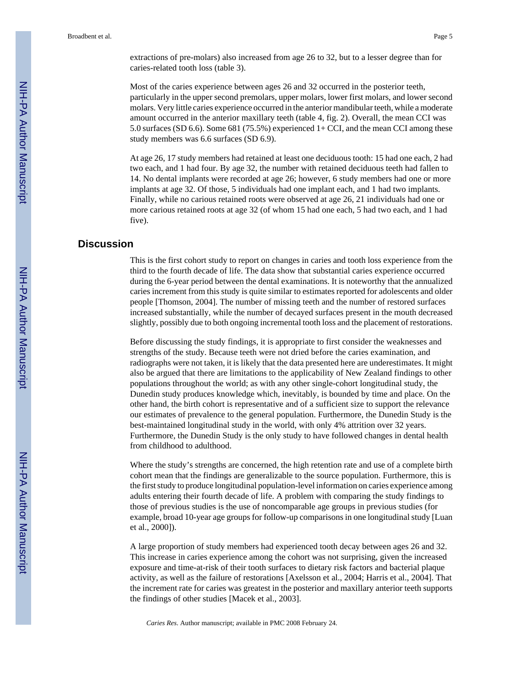extractions of pre-molars) also increased from age 26 to 32, but to a lesser degree than for caries-related tooth loss (table 3).

Most of the caries experience between ages 26 and 32 occurred in the posterior teeth, particularly in the upper second premolars, upper molars, lower first molars, and lower second molars. Very little caries experience occurred in the anterior mandibular teeth, while a moderate amount occurred in the anterior maxillary teeth (table 4, fig. 2). Overall, the mean CCI was 5.0 surfaces (SD 6.6). Some 681 (75.5%) experienced 1+ CCI, and the mean CCI among these study members was 6.6 surfaces (SD 6.9).

At age 26, 17 study members had retained at least one deciduous tooth: 15 had one each, 2 had two each, and 1 had four. By age 32, the number with retained deciduous teeth had fallen to 14. No dental implants were recorded at age 26; however, 6 study members had one or more implants at age 32. Of those, 5 individuals had one implant each, and 1 had two implants. Finally, while no carious retained roots were observed at age 26, 21 individuals had one or more carious retained roots at age 32 (of whom 15 had one each, 5 had two each, and 1 had five).

## **Discussion**

This is the first cohort study to report on changes in caries and tooth loss experience from the third to the fourth decade of life. The data show that substantial caries experience occurred during the 6-year period between the dental examinations. It is noteworthy that the annualized caries increment from this study is quite similar to estimates reported for adolescents and older people [Thomson, 2004]. The number of missing teeth and the number of restored surfaces increased substantially, while the number of decayed surfaces present in the mouth decreased slightly, possibly due to both ongoing incremental tooth loss and the placement of restorations.

Before discussing the study findings, it is appropriate to first consider the weaknesses and strengths of the study. Because teeth were not dried before the caries examination, and radiographs were not taken, it is likely that the data presented here are underestimates. It might also be argued that there are limitations to the applicability of New Zealand findings to other populations throughout the world; as with any other single-cohort longitudinal study, the Dunedin study produces knowledge which, inevitably, is bounded by time and place. On the other hand, the birth cohort is representative and of a sufficient size to support the relevance our estimates of prevalence to the general population. Furthermore, the Dunedin Study is the best-maintained longitudinal study in the world, with only 4% attrition over 32 years. Furthermore, the Dunedin Study is the only study to have followed changes in dental health from childhood to adulthood.

Where the study's strengths are concerned, the high retention rate and use of a complete birth cohort mean that the findings are generalizable to the source population. Furthermore, this is the first study to produce longitudinal population-level information on caries experience among adults entering their fourth decade of life. A problem with comparing the study findings to those of previous studies is the use of noncomparable age groups in previous studies (for example, broad 10-year age groups for follow-up comparisons in one longitudinal study [Luan et al., 2000]).

A large proportion of study members had experienced tooth decay between ages 26 and 32. This increase in caries experience among the cohort was not surprising, given the increased exposure and time-at-risk of their tooth surfaces to dietary risk factors and bacterial plaque activity, as well as the failure of restorations [Axelsson et al., 2004; Harris et al., 2004]. That the increment rate for caries was greatest in the posterior and maxillary anterior teeth supports the findings of other studies [Macek et al., 2003].

*Caries Res*. Author manuscript; available in PMC 2008 February 24.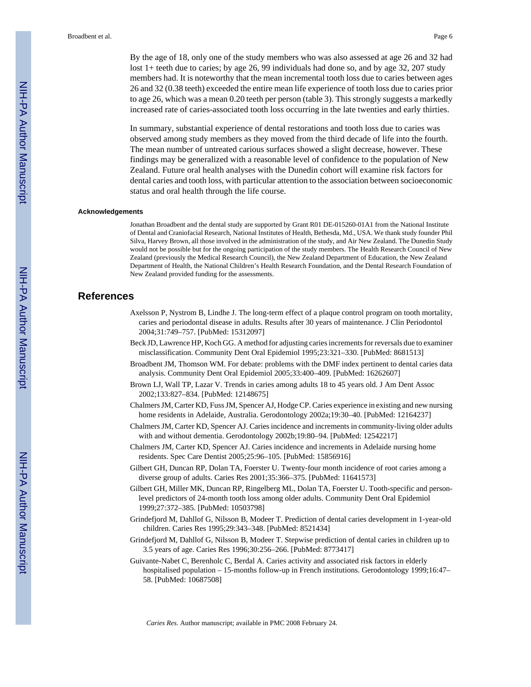By the age of 18, only one of the study members who was also assessed at age 26 and 32 had lost 1+ teeth due to caries; by age 26, 99 individuals had done so, and by age 32, 207 study members had. It is noteworthy that the mean incremental tooth loss due to caries between ages 26 and 32 (0.38 teeth) exceeded the entire mean life experience of tooth loss due to caries prior to age 26, which was a mean 0.20 teeth per person (table 3). This strongly suggests a markedly increased rate of caries-associated tooth loss occurring in the late twenties and early thirties.

In summary, substantial experience of dental restorations and tooth loss due to caries was observed among study members as they moved from the third decade of life into the fourth. The mean number of untreated carious surfaces showed a slight decrease, however. These findings may be generalized with a reasonable level of confidence to the population of New Zealand. Future oral health analyses with the Dunedin cohort will examine risk factors for dental caries and tooth loss, with particular attention to the association between socioeconomic status and oral health through the life course.

#### **Acknowledgements**

Jonathan Broadbent and the dental study are supported by Grant R01 DE-015260-01A1 from the National Institute of Dental and Craniofacial Research, National Institutes of Health, Bethesda, Md., USA. We thank study founder Phil Silva, Harvey Brown, all those involved in the administration of the study, and Air New Zealand. The Dunedin Study would not be possible but for the ongoing participation of the study members. The Health Research Council of New Zealand (previously the Medical Research Council), the New Zealand Department of Education, the New Zealand Department of Health, the National Children's Health Research Foundation, and the Dental Research Foundation of New Zealand provided funding for the assessments.

## **References**

- Axelsson P, Nystrom B, Lindhe J. The long-term effect of a plaque control program on tooth mortality, caries and periodontal disease in adults. Results after 30 years of maintenance. J Clin Periodontol 2004;31:749–757. [PubMed: 15312097]
- Beck JD, Lawrence HP, Koch GG. A method for adjusting caries increments for reversals due to examiner misclassification. Community Dent Oral Epidemiol 1995;23:321–330. [PubMed: 8681513]
- Broadbent JM, Thomson WM. For debate: problems with the DMF index pertinent to dental caries data analysis. Community Dent Oral Epidemiol 2005;33:400–409. [PubMed: 16262607]
- Brown LJ, Wall TP, Lazar V. Trends in caries among adults 18 to 45 years old. J Am Dent Assoc 2002;133:827–834. [PubMed: 12148675]
- Chalmers JM, Carter KD, Fuss JM, Spencer AJ, Hodge CP. Caries experience in existing and new nursing home residents in Adelaide, Australia. Gerodontology 2002a;19:30–40. [PubMed: 12164237]
- Chalmers JM, Carter KD, Spencer AJ. Caries incidence and increments in community-living older adults with and without dementia. Gerodontology 2002b;19:80–94. [PubMed: 12542217]
- Chalmers JM, Carter KD, Spencer AJ. Caries incidence and increments in Adelaide nursing home residents. Spec Care Dentist 2005;25:96–105. [PubMed: 15856916]
- Gilbert GH, Duncan RP, Dolan TA, Foerster U. Twenty-four month incidence of root caries among a diverse group of adults. Caries Res 2001;35:366–375. [PubMed: 11641573]
- Gilbert GH, Miller MK, Duncan RP, Ringelberg ML, Dolan TA, Foerster U. Tooth-specific and personlevel predictors of 24-month tooth loss among older adults. Community Dent Oral Epidemiol 1999;27:372–385. [PubMed: 10503798]
- Grindefjord M, Dahllof G, Nilsson B, Modeer T. Prediction of dental caries development in 1-year-old children. Caries Res 1995;29:343–348. [PubMed: 8521434]
- Grindefjord M, Dahllof G, Nilsson B, Modeer T. Stepwise prediction of dental caries in children up to 3.5 years of age. Caries Res 1996;30:256–266. [PubMed: 8773417]
- Guivante-Nabet C, Berenholc C, Berdal A. Caries activity and associated risk factors in elderly hospitalised population – 15-months follow-up in French institutions. Gerodontology 1999;16:47– 58. [PubMed: 10687508]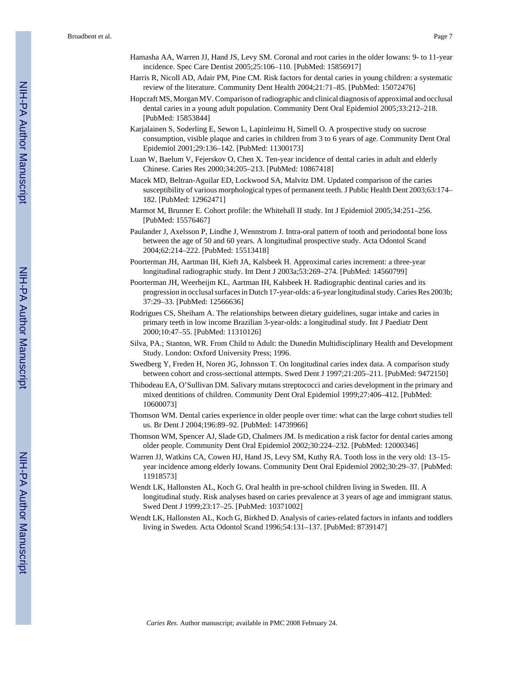- Hamasha AA, Warren JJ, Hand JS, Levy SM. Coronal and root caries in the older Iowans: 9- to 11-year incidence. Spec Care Dentist 2005;25:106–110. [PubMed: 15856917]
- Harris R, Nicoll AD, Adair PM, Pine CM. Risk factors for dental caries in young children: a systematic review of the literature. Community Dent Health 2004;21:71–85. [PubMed: 15072476]
- Hopcraft MS, Morgan MV. Comparison of radiographic and clinical diagnosis of approximal and occlusal dental caries in a young adult population. Community Dent Oral Epidemiol 2005;33:212–218. [PubMed: 15853844]
- Karjalainen S, Soderling E, Sewon L, Lapinleimu H, Simell O. A prospective study on sucrose consumption, visible plaque and caries in children from 3 to 6 years of age. Community Dent Oral Epidemiol 2001;29:136–142. [PubMed: 11300173]
- Luan W, Baelum V, Fejerskov O, Chen X. Ten-year incidence of dental caries in adult and elderly Chinese. Caries Res 2000;34:205–213. [PubMed: 10867418]
- Macek MD, Beltran-Aguilar ED, Lockwood SA, Malvitz DM. Updated comparison of the caries susceptibility of various morphological types of permanent teeth. J Public Health Dent 2003;63:174– 182. [PubMed: 12962471]
- Marmot M, Brunner E. Cohort profile: the Whitehall II study. Int J Epidemiol 2005;34:251–256. [PubMed: 15576467]
- Paulander J, Axelsson P, Lindhe J, Wennstrom J. Intra-oral pattern of tooth and periodontal bone loss between the age of 50 and 60 years. A longitudinal prospective study. Acta Odontol Scand 2004;62:214–222. [PubMed: 15513418]
- Poorterman JH, Aartman IH, Kieft JA, Kalsbeek H. Approximal caries increment: a three-year longitudinal radiographic study. Int Dent J 2003a;53:269–274. [PubMed: 14560799]
- Poorterman JH, Weerheijm KL, Aartman IH, Kalsbeek H. Radiographic dentinal caries and its progression in occlusal surfaces in Dutch 17-year-olds: a 6-year longitudinal study. Caries Res 2003b; 37:29–33. [PubMed: 12566636]
- Rodrigues CS, Sheiham A. The relationships between dietary guidelines, sugar intake and caries in primary teeth in low income Brazilian 3-year-olds: a longitudinal study. Int J Paediatr Dent 2000;10:47–55. [PubMed: 11310126]
- Silva, PA.; Stanton, WR. From Child to Adult: the Dunedin Multidisciplinary Health and Development Study. London: Oxford University Press; 1996.
- Swedberg Y, Freden H, Noren JG, Johnsson T. On longitudinal caries index data. A comparison study between cohort and cross-sectional attempts. Swed Dent J 1997;21:205–211. [PubMed: 9472150]
- Thibodeau EA, O'Sullivan DM. Salivary mutans streptococci and caries development in the primary and mixed dentitions of children. Community Dent Oral Epidemiol 1999;27:406–412. [PubMed: 10600073]
- Thomson WM. Dental caries experience in older people over time: what can the large cohort studies tell us. Br Dent J 2004;196:89–92. [PubMed: 14739966]
- Thomson WM, Spencer AJ, Slade GD, Chalmers JM. Is medication a risk factor for dental caries among older people. Community Dent Oral Epidemiol 2002;30:224–232. [PubMed: 12000346]
- Warren JJ, Watkins CA, Cowen HJ, Hand JS, Levy SM, Kuthy RA. Tooth loss in the very old: 13–15 year incidence among elderly Iowans. Community Dent Oral Epidemiol 2002;30:29–37. [PubMed: 11918573]
- Wendt LK, Hallonsten AL, Koch G. Oral health in pre-school children living in Sweden. III. A longitudinal study. Risk analyses based on caries prevalence at 3 years of age and immigrant status. Swed Dent J 1999;23:17–25. [PubMed: 10371002]
- Wendt LK, Hallonsten AL, Koch G, Birkhed D. Analysis of caries-related factors in infants and toddlers living in Sweden. Acta Odontol Scand 1996;54:131–137. [PubMed: 8739147]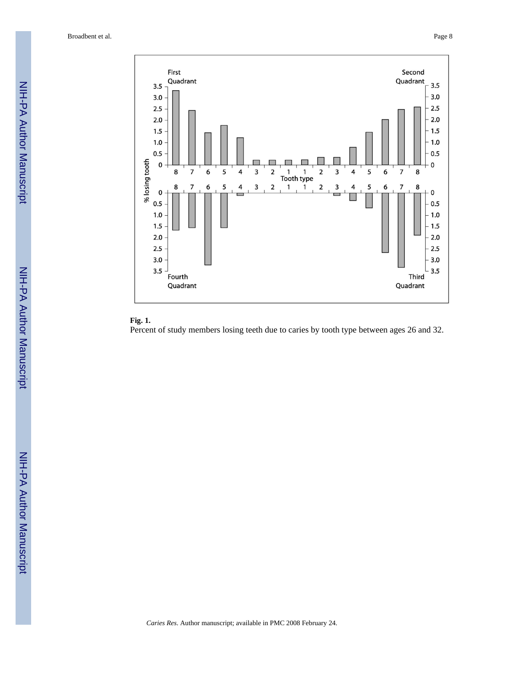Broadbent et al. Page 8



## **Fig. 1.**

Percent of study members losing teeth due to caries by tooth type between ages 26 and 32.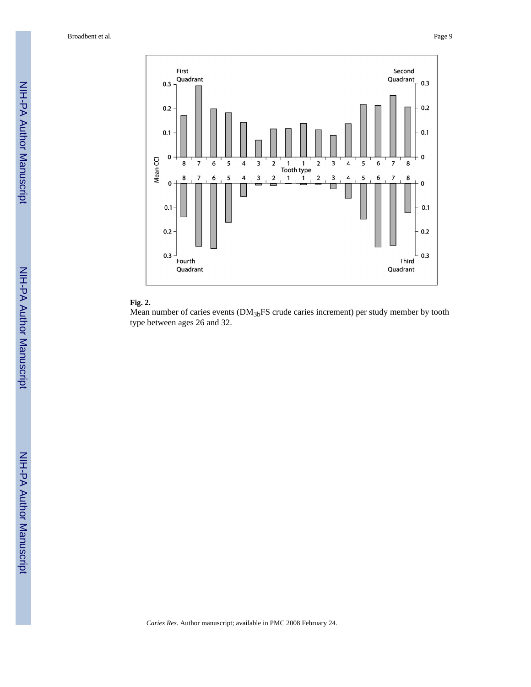Broadbent et al. Page 9



## **Fig. 2.**

Mean number of caries events (DM<sub>3b</sub>FS crude caries increment) per study member by tooth type between ages 26 and 32.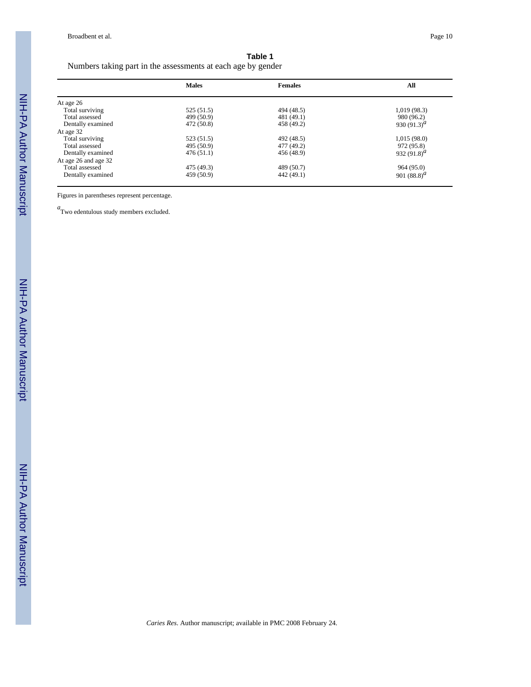## **Table 1**

Numbers taking part in the assessments at each age by gender

|                      | <b>Males</b> | <b>Females</b> | All                            |
|----------------------|--------------|----------------|--------------------------------|
| At age 26            |              |                |                                |
| Total surviving      | 525(51.5)    | 494 (48.5)     | 1,019(98.3)                    |
| Total assessed       | 499 (50.9)   | 481 (49.1)     | 980 (96.2)                     |
| Dentally examined    | 472 (50.8)   | 458 (49.2)     | 930 (91.3) <sup><i>a</i></sup> |
| At age 32            |              |                |                                |
| Total surviving      | 523 (51.5)   | 492 (48.5)     | 1,015(98.0)                    |
| Total assessed       | 495 (50.9)   | 477 (49.2)     | 972 (95.8)                     |
| Dentally examined    | 476(51.1)    | 456 (48.9)     | 932 (91.8) <sup>a</sup>        |
| At age 26 and age 32 |              |                |                                |
| Total assessed       | 475 (49.3)   | 489 (50.7)     | 964 (95.0)                     |
| Dentally examined    | 459 (50.9)   | 442 (49.1)     | 901 $(88.8)^{d}$               |

Figures in parentheses represent percentage.

*a* Two edentulous study members excluded.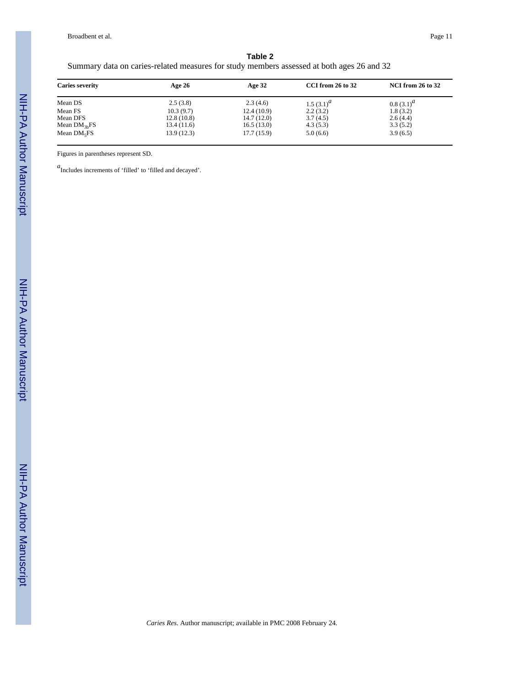Broadbent et al. Page 11

| Table 2                                                                                   |  |
|-------------------------------------------------------------------------------------------|--|
| Summary data on caries-related measures for study members assessed at both ages 26 and 32 |  |

| <b>Caries severity</b> | Age $26$   | Age $32$   | CCI from 26 to 32 | <b>NCI from 26 to 32</b> |
|------------------------|------------|------------|-------------------|--------------------------|
| Mean DS                | 2.5(3.8)   | 2.3(4.6)   | 1.5 $(3.1)^d$     | $0.8(3.1)^{a}$           |
| Mean FS                | 10.3(9.7)  | 12.4(10.9) | 2.2(3.2)          | 1.8(3.2)                 |
| Mean DFS               | 12.8(10.8) | 14.7(12.0) | 3.7(4.5)          | 2.6(4.4)                 |
| Mean $DM3hFS$          | 13.4(11.6) | 16.5(13.0) | 4.3(5.3)          | 3.3(5.2)                 |
| Mean $DM5FS$           | 13.9(12.3) | 17.7(15.9) | 5.0(6.6)          | 3.9(6.5)                 |

Figures in parentheses represent SD.

*a*Includes increments of 'filled' to 'filled and decayed'.

NIH-PA Author Manuscript

NIH-PA Author Manuscript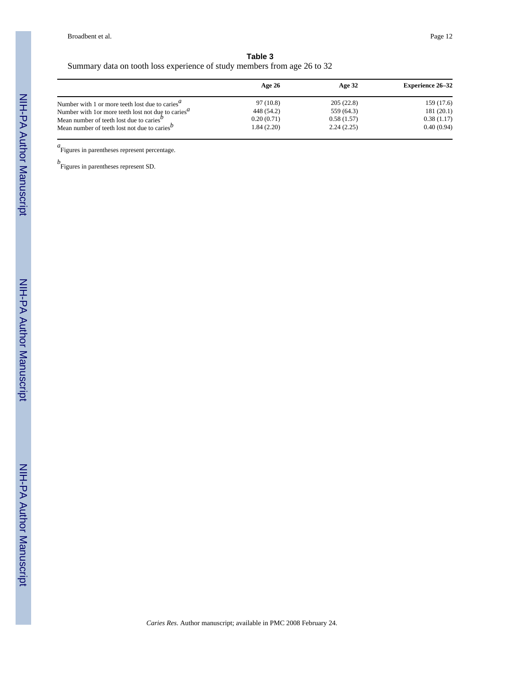## **Table 3** Summary data on tooth loss experience of study members from age 26 to 32

|                                                                              | Age 26     | Age $32$   | <b>Experience 26–32</b> |
|------------------------------------------------------------------------------|------------|------------|-------------------------|
| Number with 1 or more teeth lost due to caries <sup><math>a</math></sup>     | 97 (10.8)  | 205(22.8)  | 159 (17.6)              |
| Number with 1 or more teeth lost not due to caries <sup><math>a</math></sup> | 448 (54.2) | 559 (64.3) | 181(20.1)               |
| Mean number of teeth lost due to caries $\mathbf{v}$                         | 0.20(0.71) | 0.58(1.57) | 0.38(1.17)              |
| Mean number of teeth lost not due to caries <sup><math>b</math></sup>        | 1.84(2.20) | 2.24(2.25) | 0.40(0.94)              |

a<br>
Figures in parentheses represent percentage.

*b* Figures in parentheses represent SD.